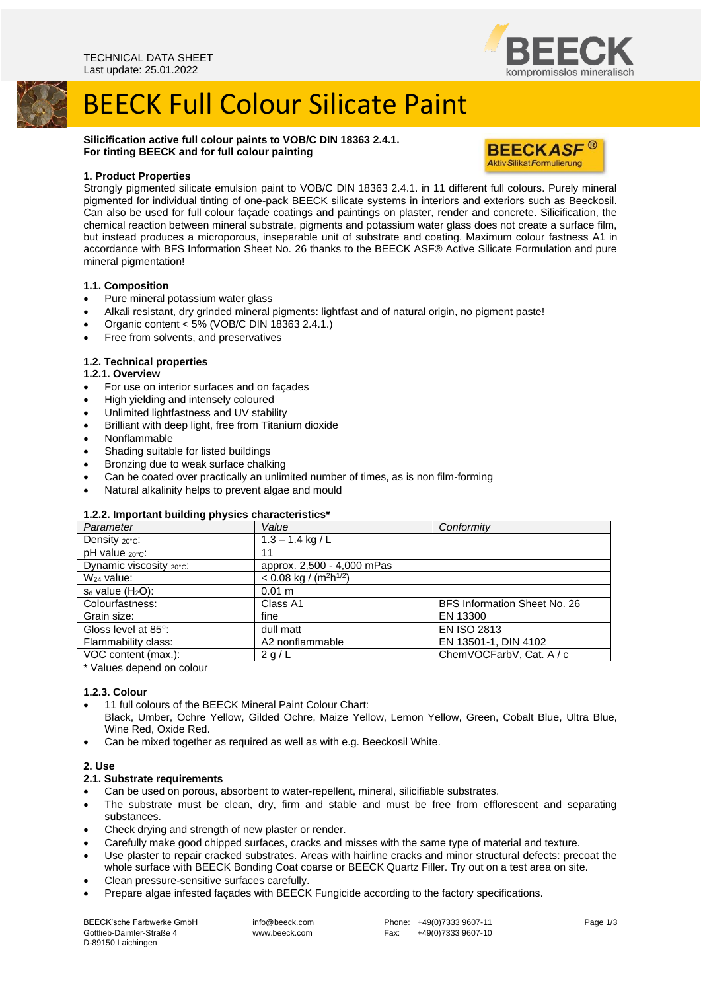

**BEECKASF® Aktiv Silikat Formulierung** 

# BEECK Full Colour Silicate Paint

**Silicification active full colour paints to VOB/C DIN 18363 2.4.1. For tinting BEECK and for full colour painting**

# **1. Product Properties**

Strongly pigmented silicate emulsion paint to VOB/C DIN 18363 2.4.1. in 11 different full colours. Purely mineral pigmented for individual tinting of one-pack BEECK silicate systems in interiors and exteriors such as Beeckosil. Can also be used for full colour façade coatings and paintings on plaster, render and concrete. Silicification, the chemical reaction between mineral substrate, pigments and potassium water glass does not create a surface film, but instead produces a microporous, inseparable unit of substrate and coating. Maximum colour fastness A1 in accordance with BFS Information Sheet No. 26 thanks to the BEECK ASF® Active Silicate Formulation and pure mineral pigmentation!

## **1.1. Composition**

- Pure mineral potassium water glass
- Alkali resistant, dry grinded mineral pigments: lightfast and of natural origin, no pigment paste!
- Organic content  $<$  5% (VOB/C DIN 18363 2.4.1.)
- Free from solvents, and preservatives

# **1.2. Technical properties**

## **1.2.1. Overview**

- For use on interior surfaces and on façades
- High yielding and intensely coloured
- Unlimited lightfastness and UV stability
- Brilliant with deep light, free from Titanium dioxide
- Nonflammable
- Shading suitable for listed buildings
- Bronzing due to weak surface chalking
- Can be coated over practically an unlimited number of times, as is non film-forming
- Natural alkalinity helps to prevent algae and mould

# **1.2.2. Important building physics characteristics\***

| Parameter                  | Value                      | Conformity                   |
|----------------------------|----------------------------|------------------------------|
| Density $20^{\circ}$ c:    | $1.3 - 1.4$ kg / L         |                              |
| $pH$ value $20^{\circ}$ c: | 11                         |                              |
| Dynamic viscosity 20°C:    | approx. 2,500 - 4,000 mPas |                              |
| W <sub>24</sub> value:     | < 0.08 kg / $(m^2h^{1/2})$ |                              |
| $s_d$ value $(H_2O)$ :     | 0.01 m                     |                              |
| Colourfastness:            | Class A1                   | BFS Information Sheet No. 26 |
| Grain size:                | fine                       | EN 13300                     |
| Gloss level at 85°:        | dull matt                  | <b>EN ISO 2813</b>           |
| Flammability class:        | A2 nonflammable            | EN 13501-1, DIN 4102         |
| VOC content (max.):        | 2 g/L                      | ChemVOCFarbV, Cat. A / c     |

\* Values depend on colour

# **1.2.3. Colour**

- 11 full colours of the BEECK Mineral Paint Colour Chart:
- Black, Umber, Ochre Yellow, Gilded Ochre, Maize Yellow, Lemon Yellow, Green, Cobalt Blue, Ultra Blue, Wine Red, Oxide Red.
- Can be mixed together as required as well as with e.g. Beeckosil White.

# **2. Use**

- **2.1. Substrate requirements**
- Can be used on porous, absorbent to water-repellent, mineral, silicifiable substrates.
- The substrate must be clean, dry, firm and stable and must be free from efflorescent and separating substances.
- Check drying and strength of new plaster or render.
- Carefully make good chipped surfaces, cracks and misses with the same type of material and texture.
- Use plaster to repair cracked substrates. Areas with hairline cracks and minor structural defects: precoat the whole surface with BEECK Bonding Coat coarse or BEECK Quartz Filler. Try out on a test area on site.
- Clean pressure-sensitive surfaces carefully.
- Prepare algae infested façades with BEECK Fungicide according to the factory specifications.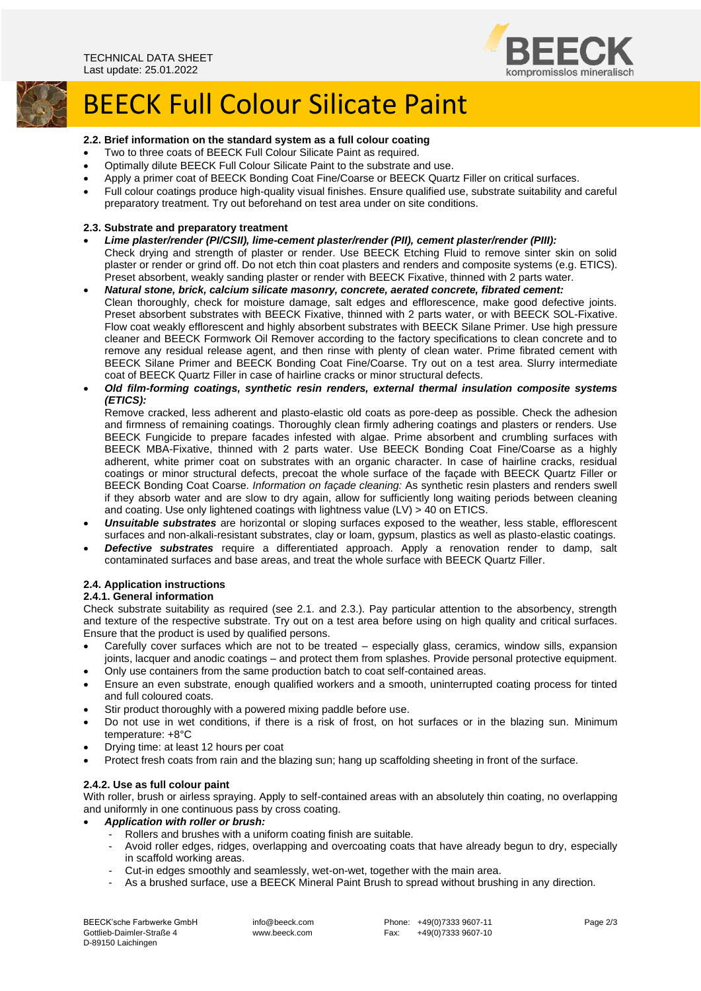

# BEECK Full Colour Silicate Paint

# **2.2. Brief information on the standard system as a full colour coating**

- Two to three coats of BEECK Full Colour Silicate Paint as required.
- Optimally dilute BEECK Full Colour Silicate Paint to the substrate and use.
- Apply a primer coat of BEECK Bonding Coat Fine/Coarse or BEECK Quartz Filler on critical surfaces.
- Full colour coatings produce high-quality visual finishes. Ensure qualified use, substrate suitability and careful preparatory treatment. Try out beforehand on test area under on site conditions.

#### **2.3. Substrate and preparatory treatment**

- *Lime plaster/render (PI/CSII), lime-cement plaster/render (PII), cement plaster/render (PIII):* Check drying and strength of plaster or render. Use BEECK Etching Fluid to remove sinter skin on solid plaster or render or grind off. Do not etch thin coat plasters and renders and composite systems (e.g. ETICS). Preset absorbent, weakly sanding plaster or render with BEECK Fixative, thinned with 2 parts water.
- *Natural stone, brick, calcium silicate masonry, concrete, aerated concrete, fibrated cement:* Clean thoroughly, check for moisture damage, salt edges and efflorescence, make good defective joints. Preset absorbent substrates with BEECK Fixative, thinned with 2 parts water, or with BEECK SOL-Fixative. Flow coat weakly efflorescent and highly absorbent substrates with BEECK Silane Primer. Use high pressure cleaner and BEECK Formwork Oil Remover according to the factory specifications to clean concrete and to remove any residual release agent, and then rinse with plenty of clean water. Prime fibrated cement with BEECK Silane Primer and BEECK Bonding Coat Fine/Coarse. Try out on a test area. Slurry intermediate coat of BEECK Quartz Filler in case of hairline cracks or minor structural defects.
- *Old film-forming coatings, synthetic resin renders, external thermal insulation composite systems (ETICS):*

Remove cracked, less adherent and plasto-elastic old coats as pore-deep as possible. Check the adhesion and firmness of remaining coatings. Thoroughly clean firmly adhering coatings and plasters or renders. Use BEECK Fungicide to prepare facades infested with algae. Prime absorbent and crumbling surfaces with BEECK MBA-Fixative, thinned with 2 parts water. Use BEECK Bonding Coat Fine/Coarse as a highly adherent, white primer coat on substrates with an organic character. In case of hairline cracks, residual coatings or minor structural defects, precoat the whole surface of the façade with BEECK Quartz Filler or BEECK Bonding Coat Coarse. *Information on façade cleaning:* As synthetic resin plasters and renders swell if they absorb water and are slow to dry again, allow for sufficiently long waiting periods between cleaning and coating. Use only lightened coatings with lightness value (LV) > 40 on ETICS.

- *Unsuitable substrates* are horizontal or sloping surfaces exposed to the weather, less stable, efflorescent surfaces and non-alkali-resistant substrates, clay or loam, gypsum, plastics as well as plasto-elastic coatings.
- *Defective substrates* require a differentiated approach. Apply a renovation render to damp, salt contaminated surfaces and base areas, and treat the whole surface with BEECK Quartz Filler.

#### **2.4. Application instructions**

#### **2.4.1. General information**

Check substrate suitability as required (see 2.1. and 2.3.). Pay particular attention to the absorbency, strength and texture of the respective substrate. Try out on a test area before using on high quality and critical surfaces. Ensure that the product is used by qualified persons.

- Carefully cover surfaces which are not to be treated especially glass, ceramics, window sills, expansion joints, lacquer and anodic coatings – and protect them from splashes. Provide personal protective equipment.
- Only use containers from the same production batch to coat self-contained areas.
- Ensure an even substrate, enough qualified workers and a smooth, uninterrupted coating process for tinted and full coloured coats.
- Stir product thoroughly with a powered mixing paddle before use.
- Do not use in wet conditions, if there is a risk of frost, on hot surfaces or in the blazing sun. Minimum temperature: +8°C
- Drying time: at least 12 hours per coat
- Protect fresh coats from rain and the blazing sun; hang up scaffolding sheeting in front of the surface.

#### **2.4.2. Use as full colour paint**

With roller, brush or airless spraying. Apply to self-contained areas with an absolutely thin coating, no overlapping and uniformly in one continuous pass by cross coating.

- *Application with roller or brush:*
	- Rollers and brushes with a uniform coating finish are suitable.
	- Avoid roller edges, ridges, overlapping and overcoating coats that have already begun to dry, especially in scaffold working areas.
	- Cut-in edges smoothly and seamlessly, wet-on-wet, together with the main area.
	- As a brushed surface, use a BEECK Mineral Paint Brush to spread without brushing in any direction.

BEECK'sche Farbwerke GmbH Gottlieb-Daimler-Straße 4 D-89150 Laichingen

info@beeck.com www.beeck.com

Phone: +49(0)7333 9607-11 Fax: +49(0)7333 9607-10 Page 2/3